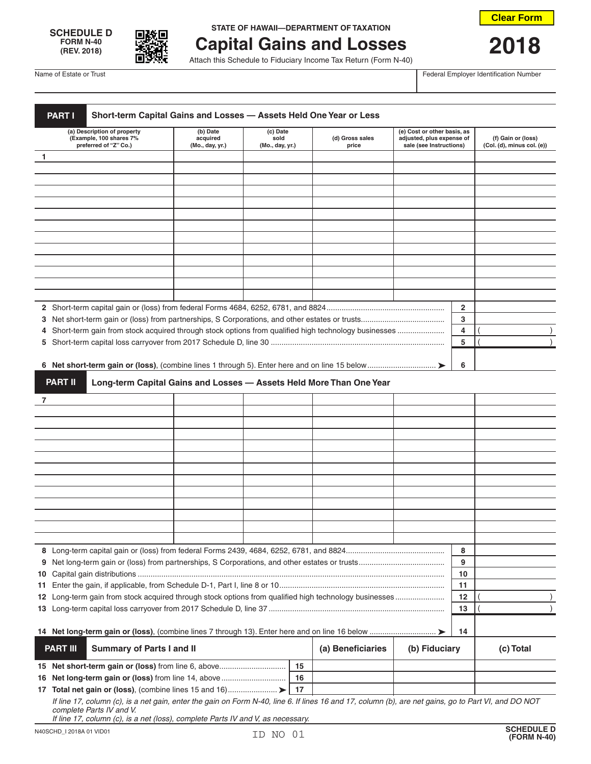



## **SCHEDULE D IN STATE OF HAWAII—DEPARTMENT OF TAXATION**

## **Capital Gains and Losses 2018**<br>Attach this Schedule to Fiduciary Income Tax Return (Form N-40)

Name of Estate or Trust Federal Employer Identification Number

| (a) Description of property                                                                                   | (b) Date                    | (c) Date                |                   |                                                                     | (e) Cost or other basis, as                          |              |                                                  |
|---------------------------------------------------------------------------------------------------------------|-----------------------------|-------------------------|-------------------|---------------------------------------------------------------------|------------------------------------------------------|--------------|--------------------------------------------------|
| (Example, 100 shares 7%<br>preferred of "Z" Co.)                                                              | acquired<br>(Mo., day, yr.) | sold<br>(Mo., day, yr.) |                   | (d) Gross sales<br>price                                            | adjusted, plus expense of<br>sale (see Instructions) |              | (f) Gain or (loss)<br>(Col. (d), minus col. (e)) |
| 1                                                                                                             |                             |                         |                   |                                                                     |                                                      |              |                                                  |
|                                                                                                               |                             |                         |                   |                                                                     |                                                      |              |                                                  |
|                                                                                                               |                             |                         |                   |                                                                     |                                                      |              |                                                  |
|                                                                                                               |                             |                         |                   |                                                                     |                                                      |              |                                                  |
|                                                                                                               |                             |                         |                   |                                                                     |                                                      |              |                                                  |
|                                                                                                               |                             |                         |                   |                                                                     |                                                      |              |                                                  |
|                                                                                                               |                             |                         |                   |                                                                     |                                                      |              |                                                  |
|                                                                                                               |                             |                         |                   |                                                                     |                                                      |              |                                                  |
|                                                                                                               |                             |                         |                   |                                                                     |                                                      |              |                                                  |
|                                                                                                               |                             |                         |                   |                                                                     |                                                      |              |                                                  |
|                                                                                                               |                             |                         |                   |                                                                     |                                                      |              |                                                  |
|                                                                                                               |                             |                         |                   |                                                                     |                                                      |              |                                                  |
|                                                                                                               |                             |                         |                   |                                                                     |                                                      |              |                                                  |
|                                                                                                               |                             |                         |                   |                                                                     |                                                      | $\mathbf{2}$ |                                                  |
|                                                                                                               |                             |                         |                   |                                                                     |                                                      | 3            |                                                  |
|                                                                                                               |                             |                         |                   |                                                                     |                                                      |              |                                                  |
|                                                                                                               |                             |                         |                   |                                                                     |                                                      | 4            |                                                  |
|                                                                                                               |                             |                         |                   |                                                                     |                                                      | 5            |                                                  |
|                                                                                                               |                             |                         |                   |                                                                     |                                                      |              |                                                  |
|                                                                                                               |                             |                         |                   |                                                                     |                                                      | 6            |                                                  |
| <b>PART II</b>                                                                                                |                             |                         |                   | Long-term Capital Gains and Losses - Assets Held More Than One Year |                                                      |              |                                                  |
|                                                                                                               |                             |                         |                   |                                                                     |                                                      |              |                                                  |
|                                                                                                               |                             |                         |                   |                                                                     |                                                      |              |                                                  |
|                                                                                                               |                             |                         |                   |                                                                     |                                                      |              |                                                  |
|                                                                                                               |                             |                         |                   |                                                                     |                                                      |              |                                                  |
|                                                                                                               |                             |                         |                   |                                                                     |                                                      |              |                                                  |
|                                                                                                               |                             |                         |                   |                                                                     |                                                      |              |                                                  |
|                                                                                                               |                             |                         |                   |                                                                     |                                                      |              |                                                  |
|                                                                                                               |                             |                         |                   |                                                                     |                                                      |              |                                                  |
|                                                                                                               |                             |                         |                   |                                                                     |                                                      |              |                                                  |
|                                                                                                               |                             |                         |                   |                                                                     |                                                      |              |                                                  |
|                                                                                                               |                             |                         |                   |                                                                     |                                                      |              |                                                  |
|                                                                                                               |                             |                         |                   |                                                                     |                                                      |              |                                                  |
|                                                                                                               |                             |                         |                   |                                                                     |                                                      |              |                                                  |
|                                                                                                               |                             |                         |                   |                                                                     |                                                      |              |                                                  |
|                                                                                                               |                             |                         |                   |                                                                     |                                                      | 8            |                                                  |
|                                                                                                               |                             |                         |                   |                                                                     | 9                                                    |              |                                                  |
|                                                                                                               |                             |                         |                   |                                                                     |                                                      | 10           |                                                  |
|                                                                                                               |                             |                         |                   |                                                                     |                                                      | 11           |                                                  |
| 12 Long-term gain from stock acquired through stock options from qualified high technology businesses         |                             |                         |                   |                                                                     |                                                      | 12           |                                                  |
|                                                                                                               |                             |                         |                   |                                                                     |                                                      | 13           |                                                  |
|                                                                                                               |                             |                         |                   |                                                                     |                                                      |              |                                                  |
|                                                                                                               |                             |                         |                   |                                                                     |                                                      | 14           |                                                  |
| <b>PART III</b><br><b>Summary of Parts I and II</b>                                                           |                             |                         | (a) Beneficiaries | (b) Fiduciary                                                       |                                                      | (c) Total    |                                                  |
| 15 Net short-term gain or (loss) from line 6, above                                                           |                             |                         | 15                |                                                                     |                                                      |              |                                                  |
|                                                                                                               |                             |                         |                   |                                                                     |                                                      |              |                                                  |
|                                                                                                               |                             |                         |                   |                                                                     |                                                      |              |                                                  |
| 16 Net long-term gain or (loss) from line 14, above<br>17 Total net gain or (loss), (combine lines 15 and 16) |                             |                         | 16<br>-17         |                                                                     |                                                      |              |                                                  |